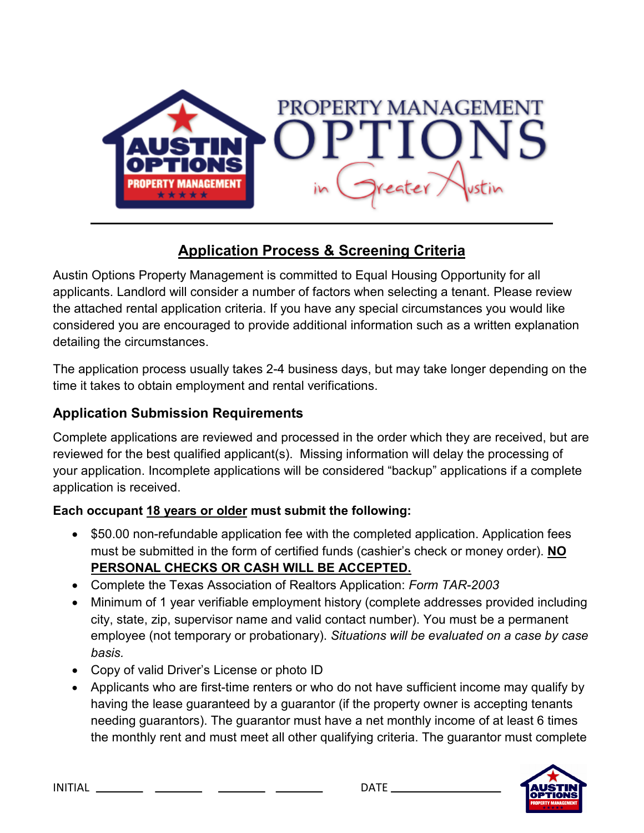

# **Application Process & Screening Criteria**

Austin Options Property Management is committed to Equal Housing Opportunity for all applicants. Landlord will consider a number of factors when selecting a tenant. Please review the attached rental application criteria. If you have any special circumstances you would like considered you are encouraged to provide additional information such as a written explanation detailing the circumstances.

The application process usually takes 2-4 business days, but may take longer depending on the time it takes to obtain employment and rental verifications.

### **Application Submission Requirements**

Complete applications are reviewed and processed in the order which they are received, but are reviewed for the best qualified applicant(s). Missing information will delay the processing of your application. Incomplete applications will be considered "backup" applications if a complete application is received.

#### **Each occupant 18 years or older must submit the following:**

- \$50.00 non-refundable application fee with the completed application. Application fees must be submitted in the form of certified funds (cashier's check or money order). **NO PERSONAL CHECKS OR CASH WILL BE ACCEPTED.**
- Complete the Texas Association of Realtors Application: *Form TAR-2003*
- Minimum of 1 year verifiable employment history (complete addresses provided including city, state, zip, supervisor name and valid contact number). You must be a permanent employee (not temporary or probationary). *Situations will be evaluated on a case by case basis.*
- Copy of valid Driver's License or photo ID
- Applicants who are first-time renters or who do not have sufficient income may qualify by having the lease guaranteed by a guarantor (if the property owner is accepting tenants needing guarantors). The guarantor must have a net monthly income of at least 6 times the monthly rent and must meet all other qualifying criteria. The guarantor must complete

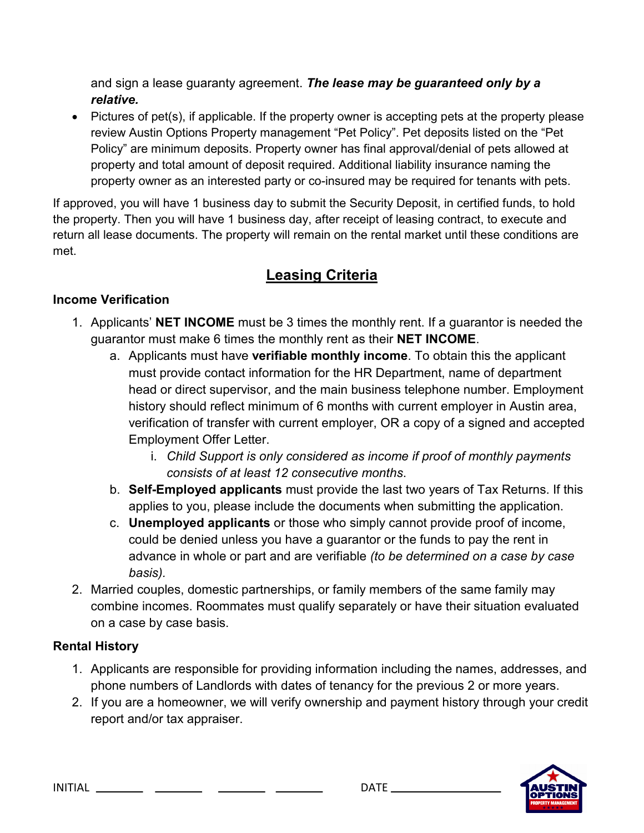and sign a lease guaranty agreement. *The lease may be guaranteed only by a relative.*

• Pictures of pet(s), if applicable. If the property owner is accepting pets at the property please review Austin Options Property management "Pet Policy". Pet deposits listed on the "Pet Policy" are minimum deposits. Property owner has final approval/denial of pets allowed at property and total amount of deposit required. Additional liability insurance naming the property owner as an interested party or co-insured may be required for tenants with pets.

If approved, you will have 1 business day to submit the Security Deposit, in certified funds, to hold the property. Then you will have 1 business day, after receipt of leasing contract, to execute and return all lease documents. The property will remain on the rental market until these conditions are met.

# **Leasing Criteria**

#### **Income Verification**

- 1. Applicants' **NET INCOME** must be 3 times the monthly rent. If a guarantor is needed the guarantor must make 6 times the monthly rent as their **NET INCOME**.
	- a. Applicants must have **verifiable monthly income**. To obtain this the applicant must provide contact information for the HR Department, name of department head or direct supervisor, and the main business telephone number. Employment history should reflect minimum of 6 months with current employer in Austin area, verification of transfer with current employer, OR a copy of a signed and accepted Employment Offer Letter.
		- i. *Child Support is only considered as income if proof of monthly payments consists of at least 12 consecutive months*.
	- b. **Self-Employed applicants** must provide the last two years of Tax Returns. If this applies to you, please include the documents when submitting the application.
	- c. **Unemployed applicants** or those who simply cannot provide proof of income, could be denied unless you have a guarantor or the funds to pay the rent in advance in whole or part and are verifiable *(to be determined on a case by case basis).*
- 2. Married couples, domestic partnerships, or family members of the same family may combine incomes. Roommates must qualify separately or have their situation evaluated on a case by case basis.

#### **Rental History**

- 1. Applicants are responsible for providing information including the names, addresses, and phone numbers of Landlords with dates of tenancy for the previous 2 or more years.
- 2. If you are a homeowner, we will verify ownership and payment history through your credit report and/or tax appraiser.

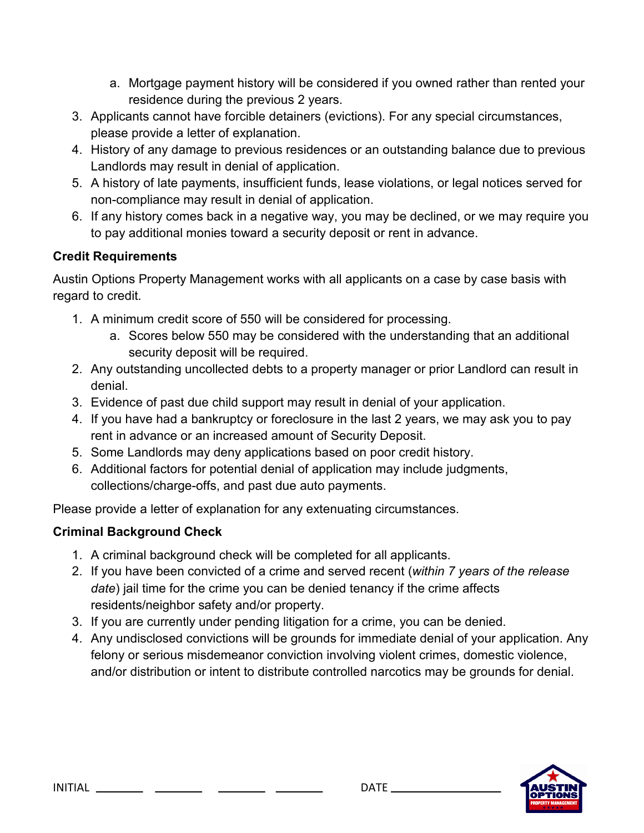- a. Mortgage payment history will be considered if you owned rather than rented your residence during the previous 2 years.
- 3. Applicants cannot have forcible detainers (evictions). For any special circumstances, please provide a letter of explanation.
- 4. History of any damage to previous residences or an outstanding balance due to previous Landlords may result in denial of application.
- 5. A history of late payments, insufficient funds, lease violations, or legal notices served for non-compliance may result in denial of application.
- 6. If any history comes back in a negative way, you may be declined, or we may require you to pay additional monies toward a security deposit or rent in advance.

#### **Credit Requirements**

Austin Options Property Management works with all applicants on a case by case basis with regard to credit.

- 1. A minimum credit score of 550 will be considered for processing.
	- a. Scores below 550 may be considered with the understanding that an additional security deposit will be required.
- 2. Any outstanding uncollected debts to a property manager or prior Landlord can result in denial.
- 3. Evidence of past due child support may result in denial of your application.
- 4. If you have had a bankruptcy or foreclosure in the last 2 years, we may ask you to pay rent in advance or an increased amount of Security Deposit.
- 5. Some Landlords may deny applications based on poor credit history.
- 6. Additional factors for potential denial of application may include judgments, collections/charge-offs, and past due auto payments.

Please provide a letter of explanation for any extenuating circumstances.

## **Criminal Background Check**

- 1. A criminal background check will be completed for all applicants.
- 2. If you have been convicted of a crime and served recent (*within 7 years of the release date*) jail time for the crime you can be denied tenancy if the crime affects residents/neighbor safety and/or property.
- 3. If you are currently under pending litigation for a crime, you can be denied.
- 4. Any undisclosed convictions will be grounds for immediate denial of your application. Any felony or serious misdemeanor conviction involving violent crimes, domestic violence, and/or distribution or intent to distribute controlled narcotics may be grounds for denial.